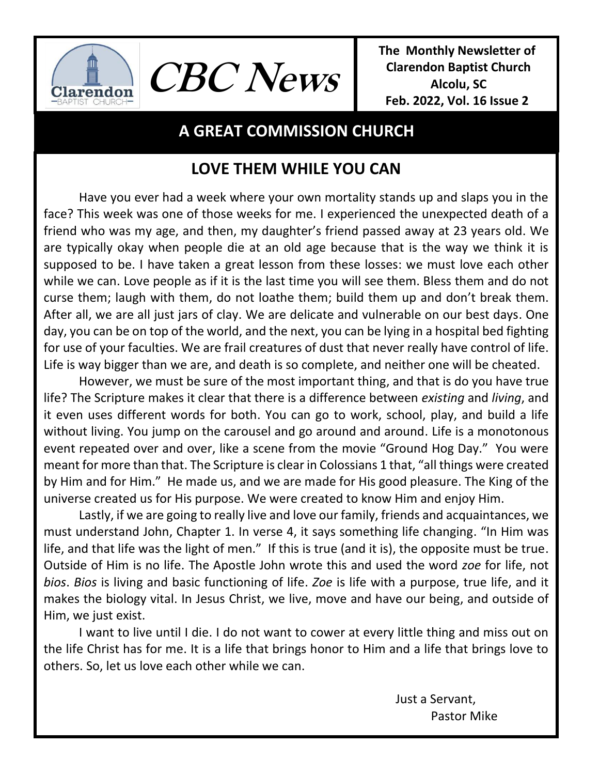

**The Monthly Newsletter of Clarendon Baptist Church Alcolu, SC Feb. 2022, Vol. 16 Issue 2** 

# **A GREAT COMMISSION CHURCH**

**CBC News**

# **LOVE THEM WHILE YOU CAN**

Have you ever had a week where your own mortality stands up and slaps you in the face? This week was one of those weeks for me. I experienced the unexpected death of a friend who was my age, and then, my daughter's friend passed away at 23 years old. We are typically okay when people die at an old age because that is the way we think it is supposed to be. I have taken a great lesson from these losses: we must love each other while we can. Love people as if it is the last time you will see them. Bless them and do not curse them; laugh with them, do not loathe them; build them up and don't break them. After all, we are all just jars of clay. We are delicate and vulnerable on our best days. One day, you can be on top of the world, and the next, you can be lying in a hospital bed fighting for use of your faculties. We are frail creatures of dust that never really have control of life. Life is way bigger than we are, and death is so complete, and neither one will be cheated.

However, we must be sure of the most important thing, and that is do you have true life? The Scripture makes it clear that there is a difference between *existing* and *living*, and it even uses different words for both. You can go to work, school, play, and build a life without living. You jump on the carousel and go around and around. Life is a monotonous event repeated over and over, like a scene from the movie "Ground Hog Day." You were meant for more than that. The Scripture is clear in Colossians 1 that, "all things were created by Him and for Him." He made us, and we are made for His good pleasure. The King of the universe created us for His purpose. We were created to know Him and enjoy Him.

Lastly, if we are going to really live and love our family, friends and acquaintances, we must understand John, Chapter 1. In verse 4, it says something life changing. "In Him was life, and that life was the light of men." If this is true (and it is), the opposite must be true. Outside of Him is no life. The Apostle John wrote this and used the word *zoe* for life, not *bios*. *Bios* is living and basic functioning of life. *Zoe* is life with a purpose, true life, and it makes the biology vital. In Jesus Christ, we live, move and have our being, and outside of Him, we just exist.

I want to live until I die. I do not want to cower at every little thing and miss out on the life Christ has for me. It is a life that brings honor to Him and a life that brings love to others. So, let us love each other while we can.

> Just a Servant, Pastor Mike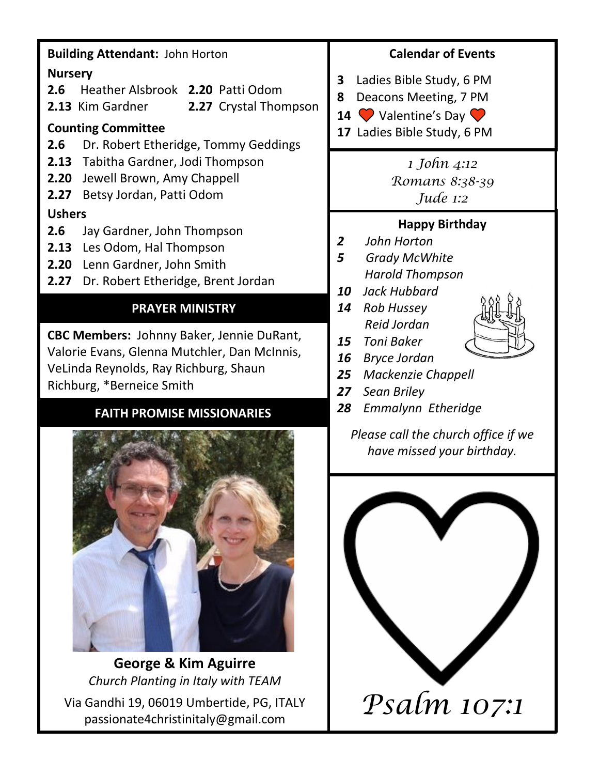### **Building Attendant:** John Horton

#### **Nursery**

- **2.6** Heather Alsbrook **2.20** Patti Odom
- **2.13** Kim Gardner **2.27** Crystal Thompson

#### **Counting Committee**

- **2.6** Dr. Robert Etheridge, Tommy Geddings
- **2.13** Tabitha Gardner, Jodi Thompson
- **2.20** Jewell Brown, Amy Chappell
- **2.27** Betsy Jordan, Patti Odom

### **Ushers**

- **2.6** Jay Gardner, John Thompson
- **2.13** Les Odom, Hal Thompson
- **2.20** Lenn Gardner, John Smith
- **2.27** Dr. Robert Etheridge, Brent Jordan

# **PRAYER MINISTRY**

**CBC Members:** Johnny Baker, Jennie DuRant, Valorie Evans, Glenna Mutchler, Dan McInnis, VeLinda Reynolds, Ray Richburg, Shaun Richburg, \*Berneice Smith

# **FAITH PROMISE MISSIONARIES**



**George & Kim Aguirre** *Church Planting in Italy with TEAM* Via Gandhi 19, 06019 Umbertide, PG, ITALY Gandhi 19, 06019 Umbertide, PG, ITALY  $Psalm$   $107:1$ 

### **Calendar of Events**

**3** Ladies Bible Study, 6 PM

**8** Deacons Meeting, 7 PM

- **14 Valentine's Day O**
- **17** Ladies Bible Study, 6 PM

*1 John 4:12 Romans 8:38-39 Jude 1:2*

## **Happy Birthday**

- *2 John Horton*
- *5 Grady McWhite Harold Thompson*
- *10 Jack Hubbard*
- *14 Rob Hussey Reid Jordan*



- *15 Toni Baker*
- *16 Bryce Jordan*
- *25 Mackenzie Chappell*
- *27 Sean Briley*
- *28 Emmalynn Etheridge*

*Please call the church office if we have missed your birthday.*